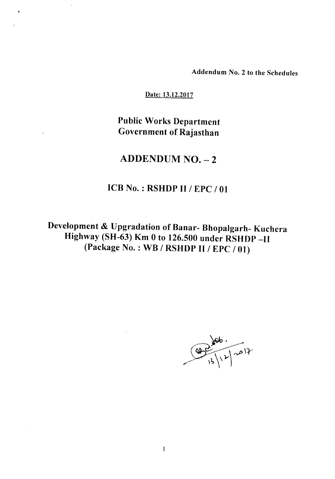Addendum No.2 to the Schedules

Date: 13.12.2017

 $\ddot{\phantom{0}}$ 

Public Works Department Government of Rajasthan

# $ADDENDUM NO. - 2$

## ICB No. : RSHDP II / EPC / 01

Development & Upgradation of Banar- Bhopalgarh- Kuchera Highway (SH-63) Km 0 to 126.500 under RSHDP-II (Package No. : WB / RSHDP II / EPC / 01)

 $(900/106)$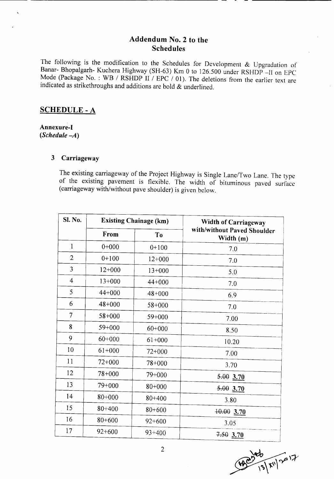### Addendum No.2 to the **Schedules**

The following is the modification to the Schedules for Development & Upgradation of Banar- Bhopalgarh- Kuchera Highway (SH-63) Km <sup>0</sup> to 126.500 under RSHDP -II on EPC Mode (Package No.: WB / RSHDP II / EPC / 01). The deletions from the earlier text are indicated as strikethroughs and additions are bold  $\&$  underlined.

## SCHEDULE - A

#### Annexure-I *(Schedule-A)*

#### 3 Carriageway

The existing carriageway of the Project Highway is Single Lane/Two Lane. The type of the existing pavement is flexible. The width of bituminous paved surface (carriageway with/without pave shoulder) is given below.

| <b>Sl. No.</b> | <b>Existing Chainage (km)</b> |                | Width of Carriageway                     |  |
|----------------|-------------------------------|----------------|------------------------------------------|--|
|                | From                          | T <sub>o</sub> | with/without Paved Shoulder<br>Width (m) |  |
| $\mathbf{1}$   | $0+000$                       | $0+100$        | 7.0                                      |  |
| $\overline{2}$ | $0+100$                       | $12+000$       | 7.0                                      |  |
| 3              | $12+000$                      | $13+000$       | 5.0                                      |  |
| $\overline{4}$ | $13+000$                      | $44+000$       | 7.0                                      |  |
| 5              | $44 + 000$                    | $48 + 000$     | 6.9                                      |  |
| 6              | $48 + 000$                    | $58 + 000$     | 7.0                                      |  |
| $\overline{7}$ | $58 + 000$                    | $59 + 000$     | 7.00                                     |  |
| 8              | $59 + 000$                    | $60+000$       | 8.50                                     |  |
| 9              | $60+000$                      | $61+000$       | 10.20                                    |  |
| 10             | $61+000$                      | $72+000$       | 7.00                                     |  |
| 11             | $72+000$                      | $78 + 000$     | 3.70                                     |  |
| 12             | $78 + 000$                    | 79+000         | $5.00$ 3.70                              |  |
| 13             | $79 + 000$                    | $80 + 000$     | $5.00$ 3.70                              |  |
| 14             | $80 + 000$                    | $80 + 400$     | 3.80                                     |  |
| 15             | $80 + 400$                    | $80 + 600$     | $+0.00$ 3.70                             |  |
| 16             | $80 + 600$                    | $92 + 600$     | 3.05                                     |  |
| 17             | $92 + 600$                    | $93 + 400$     | $7.50$ 3.70                              |  |

 $\frac{1}{13}$   $\frac{1}{x}$   $\frac{1}{x}$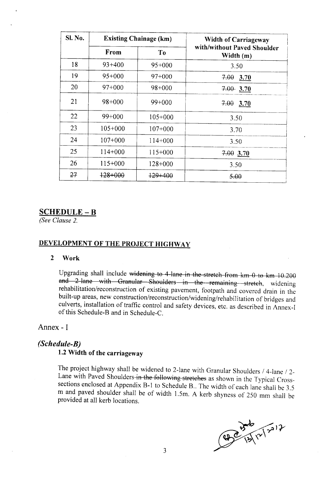| Sl. No. | <b>Existing Chainage (km)</b> |                | Width of Carriageway                     |  |
|---------|-------------------------------|----------------|------------------------------------------|--|
|         | From                          | T <sub>0</sub> | with/without Paved Shoulder<br>Width (m) |  |
| 18      | $93+400$                      | $95+000$       | 3.50                                     |  |
| 19      | $95+000$                      | $97+000$       | 7.00<br>3.70                             |  |
| 20      | 97+000                        | $98 + 000$     | $7.00$ 3.70                              |  |
| 21      | $98 + 000$                    | $99+000$       | $7.00$ 3.70                              |  |
| 22      | $99+000$                      | $105+000$      | 3.50                                     |  |
| 23      | $105+000$                     | $107+000$      | 3.70                                     |  |
| 24      | $107+000$                     | $114+000$      | 3.50                                     |  |
| 25      | $114+000$                     | $115+000$      | $7.00$ 3.70                              |  |
| 26      | $115+000$                     | $128+000$      | 3.50                                     |  |
| 27      | $128 + 000$                   | $129 + 400$    | 5.00                                     |  |

#### SCHEDULE-B

*(See Clause 2.*

### DEVELOPMENT OF THE PROJECT HIGHWAY

#### 2 Work

Upgrading shall include widening to 4 lane in the stretch from km Q to km IQ.2QQ and 2-lane with Granular Shoulders in the remaining stretch, widening rehabilitation/reconstruction of existing pavement, footpath and covered drain in the built-up areas, new construction/reconstruction/widening/rehabilitation of bridges and culverts, installation of traffic control and safety devices, etc. as described in Annex-I of this Schedule-B and in Schedule-C.

Annex - I

#### *(Schedule-B)*

### 1.2 Width of the carriageway

The project highway shall be widened to 2-lane with Granular Shoulders / 4-lane / 2- Lane with Paved Shoulders in the following stretches as shown in the Typical Crosssections enclosed at Appendix B-1 to Schedule B.. The width of each lane shall be 3.5 m and paved shoulder shall be of width 1.5m. A kerb shyness of 250 mm shall be provided at all kerb locations.

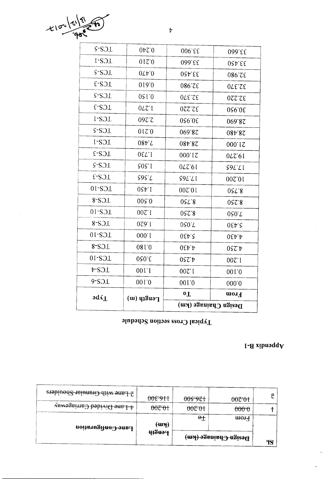|                                 | <del>บารูกว L</del> | Design Chainage (km) |                   | <del>'IS</del> |  |
|---------------------------------|---------------------|----------------------|-------------------|----------------|--|
| Lane Configuration              | <del>(ury)</del>    | $\theta$             | <del>ш014</del>   |                |  |
| <b>Lane Divided Carriageway</b> | 007.01              | <del>007'01</del>    | 000.0             |                |  |
| 2 Lane with Granular Shoulders  | <del>θθε 9Η</del>   | 00 <del>5'971</del>  | <del>007'01</del> | ₹              |  |

## $\mathbf{I}\text{-}\mathbf{B}$ xibnəqd $\mathbf{A}$

# Typical Cross section Schedule

|                    | $\Gamma$ cu $\beta$ tu)         | Design Chainage (km)  |                                           |
|--------------------|---------------------------------|-----------------------|-------------------------------------------|
| $J\Delta b$        |                                 | 0 <sub>L</sub>        | Hrom                                      |
| $9-SJL$            | 001.0                           | 001.0                 | 000.0                                     |
| $t$ -SOL           | 001.1                           | 1.200                 | 001.0                                     |
| IC2-10             | 050.5                           | 052.4                 | 00Z.I                                     |
| $3-S$              | 081.0                           | $0$ $E$ $\tau$ $\tau$ | 052.4                                     |
| $LC2-10$           | 000.1                           | 0555                  | $0$ <i>E</i> $\flat$ $\flat$              |
| $3-S.2$            | 029.1                           | 0S0.7                 | $0$ <i>E</i> $\tau$ <sup>-</sup> <i>S</i> |
| $LC2$ -10          | 1.200                           | 052.8                 | 0S0.7                                     |
| $SC2-8$            | 005.0                           | 0SL'8                 | 057.8                                     |
| $UC2$ -10          | 05t.I                           | 10.200                | 0SL'8                                     |
| LC <sub>8</sub> -3 | S95L                            | S9LL1                 | 10.200                                    |
| $S-SJL$            | SOS.1                           | 0 <i>L</i> 761        | $S9L^2LI$                                 |
| LC2-3              | <b>OEL</b> I                    | 000.12                | 0 <i>L</i> $761$                          |
| LC <sub>2</sub> -1 | 08tL                            | 08+87                 | 000.12                                    |
| $LC2$ -S           | 01710                           | 069'87                | 087.87                                    |
| <b>ICS-1</b>       | 097 <sup>.</sup> 7              | 30.950                | 069'87                                    |
| LC2-3              | $0LZ$ <sup><math>I</math></sup> | 32.220                | 30.950                                    |
| LC2-5              | 051.0                           | 32.370                | 32.220                                    |
| LCS-3              | 019'0                           | 32.980                | 32.370                                    |
| $S-SOL$            | $0L\dot{v}$ o                   | 055.55                | 32.980                                    |
| LC <sub>8</sub> -1 | 0170                            | 099.EE                | 33.450                                    |
| SCS                | $0tZ$ . $0$                     | 006'EE                | 099.EE                                    |

 $x150 |x12|$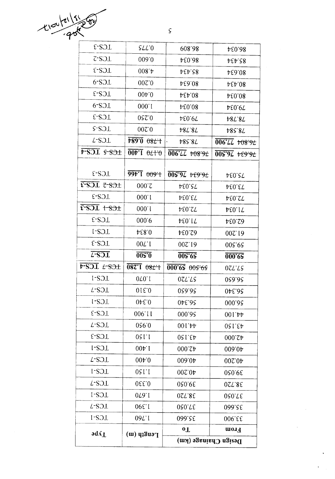| ≮                                       |                              | 5                    |                   |
|-----------------------------------------|------------------------------|----------------------|-------------------|
| LC2-3                                   | $SLL$ <sup>0</sup>           | 608.98               | 460.034           |
| LC2-5                                   | 009.0                        | 46.034               | <b>PEP'S8</b>     |
| LC2-3                                   | 008.4                        | 45.434               | 46.634            |
| 6-S <sub>OL</sub>                       | 00Z.0                        | 46.634               | 43434             |
| LC2-3                                   | 00 <sub>0</sub>              | 43434                | 460.08            |
| 6-S <sub>O</sub> L                      | 000.1                        | 460.084              | <b>450.674</b>    |
| LCS-3                                   | 052.0                        | <b>450.674</b>       | <b>787.87</b>     |
| SC <sub>5</sub>                         | 00Z.0                        | <b>787.87</b>        | <b>785.87</b>     |
| L-SOL                                   | $\overline{6900}$ $082 +$  - | <b>785.87</b>        | 006LL +089L       |
| FSOI 5-801                              | $00 \times 1.90$             | 006'LL +08:9L        | $005.97$ $+60.97$ |
| LCS-3                                   | $99bT 009 +$                 | 005'9L +E9'9L        | <b>75.034</b>     |
| $E-SJL$ $z-SJL$                         | 000 <sub>c</sub>             | <b>450.034</b>       | 45.034            |
| LCS-3                                   | 000.1                        | <b>PEO'EL</b>        | <b>450.034</b>    |
| $E-SJL$ + $SJL$                         | 000.1                        | <b>450.ST</b>        | <b>450.IT</b>     |
| LC2-3                                   | 000.6                        | <b>450.IT</b>        | 0.59              |
| LC2-1                                   | 48.0                         | 42.034               | 007.19            |
| LCS-3                                   | 00L.1                        | 007.19               | 005'65            |
| $L-SJL$                                 | 002.0                        | 005.92               | 000.92            |
| $\overline{r}$ SOI $t$ -SO <sub>1</sub> | $0877 + 082 +$               | 000'65 005'65        | 0ZL'LS            |
| LC2-1                                   | 0 <sub>T</sub> 0.1           | OZL'LS               | 059.95            |
| L-S <sub>OL</sub>                       | 016.0                        | 059.95               | 96.340            |
| LC2-1                                   | 0.340                        | 96.340               | 000.95            |
| TCS-3                                   | 006.11                       | 000.02               | 001.44            |
| L-SOL                                   | 056.0                        | 001.44               | 43.150            |
| LCS-3                                   | 1.150                        | 43.150               | 000.54            |
| LC2-1                                   | $00 \text{A}$ . I            | 000.54               | 009.04            |
| L-SOL                                   | $00 \text{A} 0$              | 009.04               | 002.04            |
| LCS-1                                   | 05 I I                       | 002.04               | 39.050            |
| L-S <sub>3</sub> L                      | 0.330                        | 39.050               | 0ST.8E            |
| LC <sub>2</sub> -1                      | 076.1                        | <b>OZL'8E</b>        | 020.TE            |
| L-SOL                                   | 1.390                        | 050.TE               | 099'SE            |
| LC <sub>8</sub> -1                      | 09L.1                        | 099.25               | 33.900            |
| $J\lambda$ be                           | $T$ cu $\delta$ tu) (w       | 0 <sub>L</sub>       | Hrom              |
|                                         |                              | Design Chainage (km) |                   |

 $t \sim \frac{|z|}{360}$